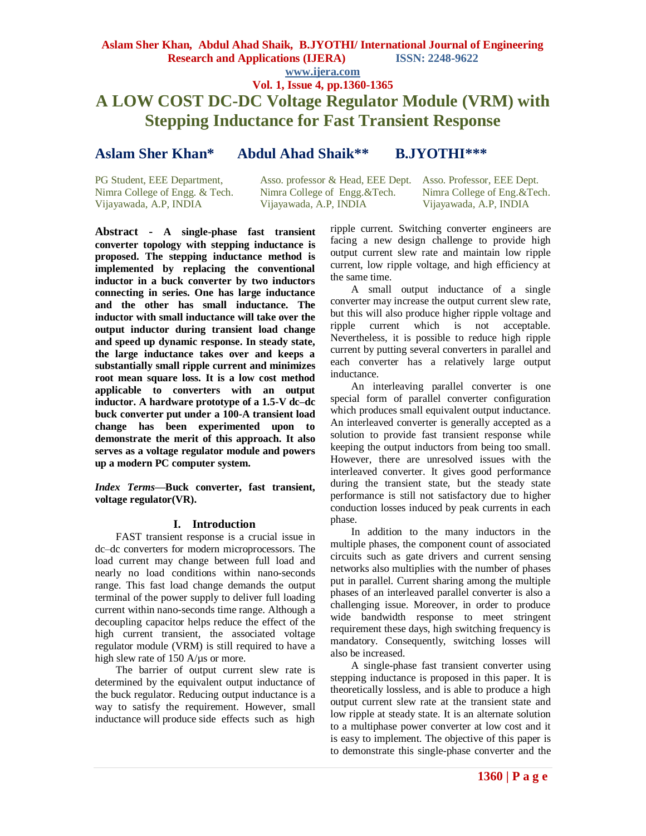**www.ijera.com**

**Vol. 1, Issue 4, pp.1360-1365 A LOW COST DC-DC Voltage Regulator Module (VRM) with Stepping Inductance for Fast Transient Response**

# **Aslam Sher Khan\* Abdul Ahad Shaik\*\* B.JYOTHI\*\*\***

PG Student, EEE Department, Asso. professor & Head, EEE Dept. Asso. Professor, EEE Dept.

Nimra College of Engg. & Tech. Nimra College of Engg.&Tech. Nimra College of Eng.&Tech. Vijayawada, A.P, INDIA Vijayawada, A.P, INDIA Vijayawada, A.P, INDIA

**Abstract - A single-phase fast transient converter topology with stepping inductance is proposed. The stepping inductance method is implemented by replacing the conventional inductor in a buck converter by two inductors connecting in series. One has large inductance and the other has small inductance. The inductor with small inductance will take over the output inductor during transient load change and speed up dynamic response. In steady state, the large inductance takes over and keeps a substantially small ripple current and minimizes root mean square loss. It is a low cost method applicable to converters with an output inductor. A hardware prototype of a 1.5-V dc–dc buck converter put under a 100-A transient load change has been experimented upon to demonstrate the merit of this approach. It also serves as a voltage regulator module and powers up a modern PC computer system.**

*Index Terms—***Buck converter, fast transient, voltage regulator(VR).**

## **I. Introduction**

FAST transient response is a crucial issue in dc–dc converters for modern microprocessors. The load current may change between full load and nearly no load conditions within nano-seconds range. This fast load change demands the output terminal of the power supply to deliver full loading current within nano-seconds time range. Although a decoupling capacitor helps reduce the effect of the high current transient, the associated voltage regulator module (VRM) is still required to have a high slew rate of 150 A/µs or more.

 The barrier of output current slew rate is determined by the equivalent output inductance of the buck regulator. Reducing output inductance is a way to satisfy the requirement. However, small inductance will produce side effects such as high ripple current. Switching converter engineers are facing a new design challenge to provide high output current slew rate and maintain low ripple current, low ripple voltage, and high efficiency at the same time.

 A small output inductance of a single converter may increase the output current slew rate, but this will also produce higher ripple voltage and ripple current which is not acceptable. Nevertheless, it is possible to reduce high ripple current by putting several converters in parallel and each converter has a relatively large output inductance.

 An interleaving parallel converter is one special form of parallel converter configuration which produces small equivalent output inductance. An interleaved converter is generally accepted as a solution to provide fast transient response while keeping the output inductors from being too small. However, there are unresolved issues with the interleaved converter. It gives good performance during the transient state, but the steady state performance is still not satisfactory due to higher conduction losses induced by peak currents in each phase.

 In addition to the many inductors in the multiple phases, the component count of associated circuits such as gate drivers and current sensing networks also multiplies with the number of phases put in parallel. Current sharing among the multiple phases of an interleaved parallel converter is also a challenging issue. Moreover, in order to produce wide bandwidth response to meet stringent requirement these days, high switching frequency is mandatory. Consequently, switching losses will also be increased.

 A single-phase fast transient converter using stepping inductance is proposed in this paper. It is theoretically lossless, and is able to produce a high output current slew rate at the transient state and low ripple at steady state. It is an alternate solution to a multiphase power converter at low cost and it is easy to implement. The objective of this paper is to demonstrate this single-phase converter and the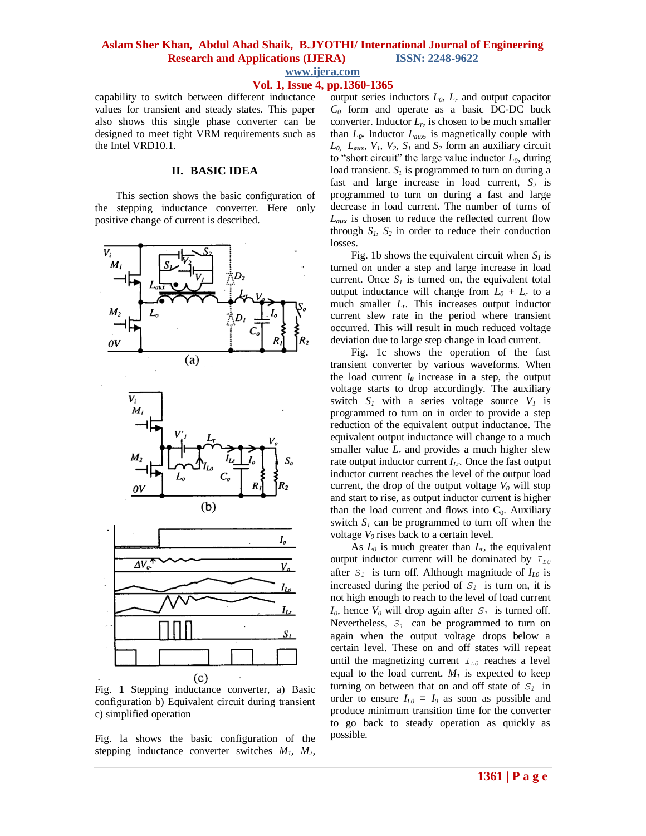# **Aslam Sher Khan, Abdul Ahad Shaik, B.JYOTHI/ International Journal of Engineering Research and Applications (IJERA) ISSN: 2248-9622**

**www.ijera.com**

## **Vol. 1, Issue 4, pp.1360-1365**

capability to switch between different inductance values for transient and steady states. This paper also shows this single phase converter can be designed to meet tight VRM requirements such as the Intel VRD10.1.

## **II. BASIC IDEA**

 This section shows the basic configuration of the stepping inductance converter. Here only positive change of current is described.







Fig. **1** Stepping inductance converter, a) Basic configuration b) Equivalent circuit during transient c) simplified operation

Fig. la shows the basic configuration of the stepping inductance converter switches *M1, M2,* output series inductors *L0, L<sup>r</sup>* and output capacitor *C<sup>0</sup>* form and operate as a basic DC-DC buck converter. Inductor  $L_r$ , is chosen to be much smaller than  $L_{\theta}$ . Inductor  $L_{aux}$  is magnetically couple with  $L_0$ ,  $L_{aux}$ ,  $V_1$ ,  $V_2$ ,  $S_1$  and  $S_2$  form an auxiliary circuit to "short circuit" the large value inductor  $L_0$ , during load transient.  $S_I$  is programmed to turn on during a fast and large increase in load current, *S<sup>2</sup>* is programmed to turn on during a fast and large decrease in load current. The number of turns of *Laux* is chosen to reduce the reflected current flow through  $S_1$ ,  $S_2$  in order to reduce their conduction losses.

Fig. 1b shows the equivalent circuit when  $S_I$  is turned on under a step and large increase in load current. Once  $S_I$  is turned on, the equivalent total output inductance will change from  $L_0 + L_r$  to a much smaller *L<sup>r</sup>* . This increases output inductor current slew rate in the period where transient occurred. This will result in much reduced voltage deviation due to large step change in load current.

 Fig. 1c shows the operation of the fast transient converter by various waveforms. When the load current  $I_0$  increase in a step, the output voltage starts to drop accordingly. The auxiliary switch  $S_I$  with a series voltage source  $V_I$  is programmed to turn on in order to provide a step reduction of the equivalent output inductance. The equivalent output inductance will change to a much smaller value  $L_r$  and provides a much higher slew rate output inductor current  $I_{Lr}$ . Once the fast output inductor current reaches the level of the output load current, the drop of the output voltage  $V_0$  will stop and start to rise, as output inductor current is higher than the load current and flows into  $C_0$ . Auxiliary switch  $S_I$  can be programmed to turn off when the voltage  $V_0$  rises back to a certain level.

As  $L_0$  is much greater than  $L_r$ , the equivalent output inductor current will be dominated by *IL0* after  $S_1$  is turn off. Although magnitude of  $I_{L0}$  is increased during the period of  $S_1$  is turn on, it is not high enough to reach to the level of load current  $I_0$ , hence  $V_0$  will drop again after  $S_1$  is turned off. Nevertheless,  $S_1$  can be programmed to turn on again when the output voltage drops below a certain level. These on and off states will repeat until the magnetizing current *IL0* reaches a level equal to the load current.  $M<sub>1</sub>$  is expected to keep turning on between that on and off state of  $S_1$  in order to ensure  $I_{L0} = I_0$  as soon as possible and produce minimum transition time for the converter to go back to steady operation as quickly as possible.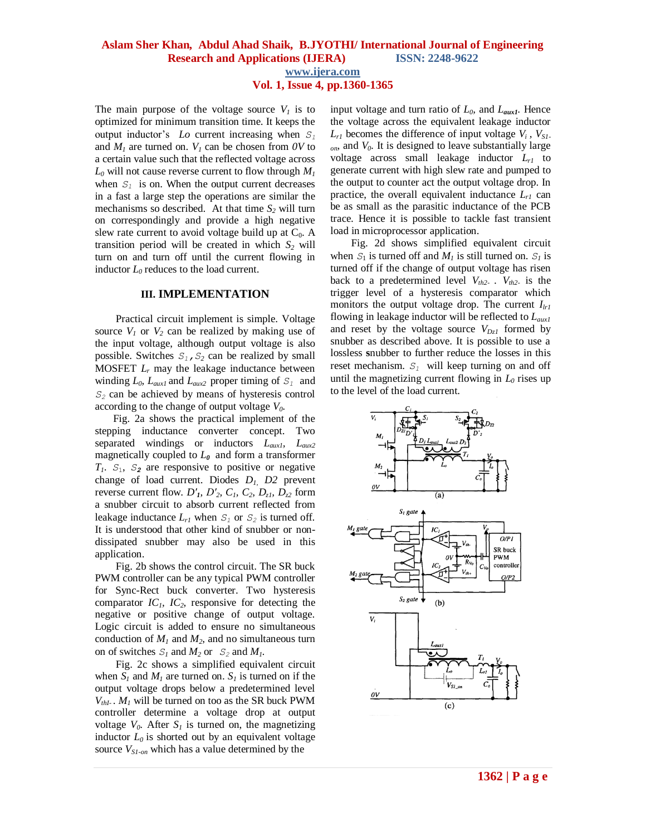# **Aslam Sher Khan, Abdul Ahad Shaik, B.JYOTHI/ International Journal of Engineering Research and Applications (IJERA) ISSN: 2248-9622 www.ijera.com**

# **Vol. 1, Issue 4, pp.1360-1365**

The main purpose of the voltage source  $V_I$  is to optimized for minimum transition time. It keeps the output inductor's *Lo* current increasing when *S<sup>1</sup>* and  $M<sub>1</sub>$  are turned on.  $V<sub>1</sub>$  can be chosen from  $\partial V$  to a certain value such that the reflected voltage across  $L_0$  will not cause reverse current to flow through  $M_1$ when  $S_1$  is on. When the output current decreases in a fast a large step the operations are similar the mechanisms so described. At that time  $S_2$  will turn on correspondingly and provide a high negative slew rate current to avoid voltage build up at  $C_0$ . A transition period will be created in which  $S_2$  will turn on and turn off until the current flowing in inductor *L<sup>0</sup>* reduces to the load current.

#### **III. IMPLEMENTATION**

 Practical circuit implement is simple. Voltage source  $V_1$  or  $V_2$  can be realized by making use of the input voltage, although output voltage is also possible. Switches *S1,S<sup>2</sup>* can be realized by small MOSFET *L<sup>r</sup>* may the leakage inductance between winding  $L_0$ ,  $L_{\text{aux1}}$  and  $L_{\text{aux2}}$  proper timing of  $S_1$  and *S<sup>2</sup>* can be achieved by means of hysteresis control according to the change of output voltage *V0.*

Fig. 2a shows the practical implement of the stepping inductance converter concept. Two separated windings or inductors *Laux1, Laux2* magnetically coupled to  $L<sub>0</sub>$  and form a transformer  $T_1$ *.*  $S_1$ *,*  $S_2$  are responsive to positive or negative change of load current. Diodes *D1, D2* prevent reverse current flow.  $D'$ <sup>*I*</sup>,  $D'$ <sub>2</sub>*, C*<sub>*I*</sub>, *C*<sub>2</sub>*, D*<sub>*z1</sub></sub>, <i>D*<sub>*z2*</sub> form</sub> a snubber circuit to absorb current reflected from leakage inductance  $L_{r1}$  when  $S_1$  or  $S_2$  is turned off. It is understood that other kind of snubber or nondissipated snubber may also be used in this application.

Fig. 2b shows the control circuit. The SR buck PWM controller can be any typical PWM controller for Sync-Rect buck converter. Two hysteresis comparator  $IC<sub>1</sub>$ ,  $IC<sub>2</sub>$ , responsive for detecting the negative or positive change of output voltage. Logic circuit is added to ensure no simultaneous conduction of  $M_1$  and  $M_2$ , and no simultaneous turn on of switches  $S_l$  and  $M_2$  or  $S_2$  and  $M_l$ .

Fig. 2c shows a simplified equivalent circuit when  $S_i$  and  $M_i$  are turned on.  $S_i$  is turned on if the output voltage drops below a predetermined level  $V_{thI}$ .  $M_I$  will be turned on too as the SR buck PWM controller determine a voltage drop at output voltage  $V_0$ . After  $S_I$  is turned on, the magnetizing inductor  $L_0$  is shorted out by an equivalent voltage source *VS1-on* which has a value determined by the

input voltage and turn ratio of *L0,* and *Laux1.* Hence the voltage across the equivalent leakage inductor  $L_{r1}$  becomes the difference of input voltage  $V_i$ ,  $V_{S1}$ .  $_{\text{op}}$  and  $V_0$ . It is designed to leave substantially large voltage across small leakage inductor *Lr1* to generate current with high slew rate and pumped to the output to counter act the output voltage drop. In practice, the overall equivalent inductance  $L_{r1}$  can be as small as the parasitic inductance of the PCB trace. Hence it is possible to tackle fast transient load in microprocessor application.

Fig. 2d shows simplified equivalent circuit when  $S_1$  is turned off and  $M_1$  is still turned on.  $S_1$  is turned off if the change of output voltage has risen back to a predetermined level  $V_{th2}$ .  $V_{th2}$  is the trigger level of a hysteresis comparator which monitors the output voltage drop. The current *Ilr1* flowing in leakage inductor will be reflected to *Laux1* and reset by the voltage source  $V_{DzI}$  formed by snubber as described above. It is possible to use a lossless **s**nubber to further reduce the losses in this reset mechanism. *S<sup>1</sup>* will keep turning on and off until the magnetizing current flowing in  $L_0$  rises up to the level of the load current.

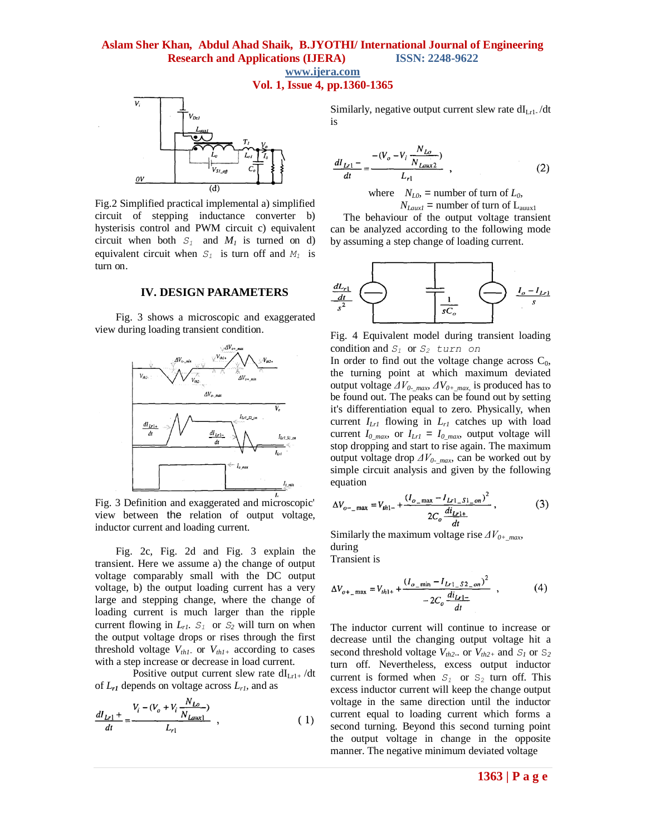## **Aslam Sher Khan, Abdul Ahad Shaik, B.JYOTHI/ International Journal of Engineering Research and Applications (IJERA) ISSN: 2248-9622 www.ijera.com**

## **Vol. 1, Issue 4, pp.1360-1365**



Fig.2 Simplified practical implemental a) simplified circuit of stepping inductance converter b) hysterisis control and PWM circuit c) equivalent circuit when both  $S_1$  and  $M_1$  is turned on d) equivalent circuit when  $S_1$  is turn off and  $M_1$  is turn on.

### **IV. DESIGN PARAMETERS**

Fig. 3 shows a microscopic and exaggerated view during loading transient condition.



Fig. 3 Definition and exaggerated and microscopic' view between the relation of output voltage, inductor current and loading current.

 Fig. 2c, Fig. 2d and Fig. 3 explain the transient. Here we assume a) the change of output voltage comparably small with the DC output voltage, b) the output loading current has a very large and stepping change, where the change of loading current is much larger than the ripple current flowing in  $L_{r1}$ *.*  $S_1$  or  $S_2$  will turn on when the output voltage drops or rises through the first threshold voltage  $V_{th1}$  or  $V_{th1+}$  according to cases with a step increase or decrease in load current.

Positive output current slew rate  $dI_{Lr1+} / dt$ of  $L_{r1}$  depends on voltage across  $L_{r1}$ , and as

$$
\frac{dI_{L1} +}{dt} = \frac{V_i - (V_o + V_i \frac{N_{Lo}}{N_{Laux1}})}{L_{r1}} , \qquad (1)
$$

Similarly, negative output current slew rate dILr1-/dt is

$$
\frac{dI_{L+1}}{dt} = \frac{-(V_o - V_i \frac{N_{Lo}}{N_{Laux2}})}{L_{r1}},
$$
\n(2)

where  $N_{L0}$  = number of turn of  $L_0$ ,

 $N_{Laux1}$  = number of turn of  $L_{auux1}$  The behaviour of the output voltage transient can be analyzed according to the following mode by assuming a step change of loading current.



Fig. 4 Equivalent model during transient loading condition and *S<sup>1</sup>* or *S<sup>2</sup> turn on* 

In order to find out the voltage change across  $C_0$ , the turning point at which maximum deviated output voltage  $\Delta V_{0_{-}max}$ ,  $\Delta V_{0_{+}max}$ , is produced has to be found out. The peaks can be found out by setting it's differentiation equal to zero. Physically, when current *ILr1* flowing in *Lr1* catches up with load current  $I_{0\_max}$  or  $I_{Lrl} = I_{0\_max}$  output voltage will stop dropping and start to rise again. The maximum output voltage drop *ΔV0-\_max,* can be worked out by simple circuit analysis and given by the following equation

$$
\Delta V_{o-\max} = V_{th1-} + \frac{(I_{o-\max} - I_{L1-S1} - on)^2}{2C_o} , \qquad (3)
$$

Similarly the maximum voltage rise  $\Delta V_{0+max}$ during

Transient is

$$
\Delta V_{o+_{\text{max}}} = V_{th1+} + \frac{(I_{o_{\text{min}}} - I_{Lr1\_S2\_on})^2}{-2C_o} , \qquad (4)
$$

The inductor current will continue to increase or decrease until the changing output voltage hit a second threshold voltage  $V_{th2}$ . or  $V_{th2+}$  and  $S_1$  or  $S_2$ turn off. Nevertheless, excess output inductor current is formed when  $S_1$  or  $S_2$  turn off. This excess inductor current will keep the change output voltage in the same direction until the inductor current equal to loading current which forms a second turning. Beyond this second turning point the output voltage in change in the opposite manner. The negative minimum deviated voltage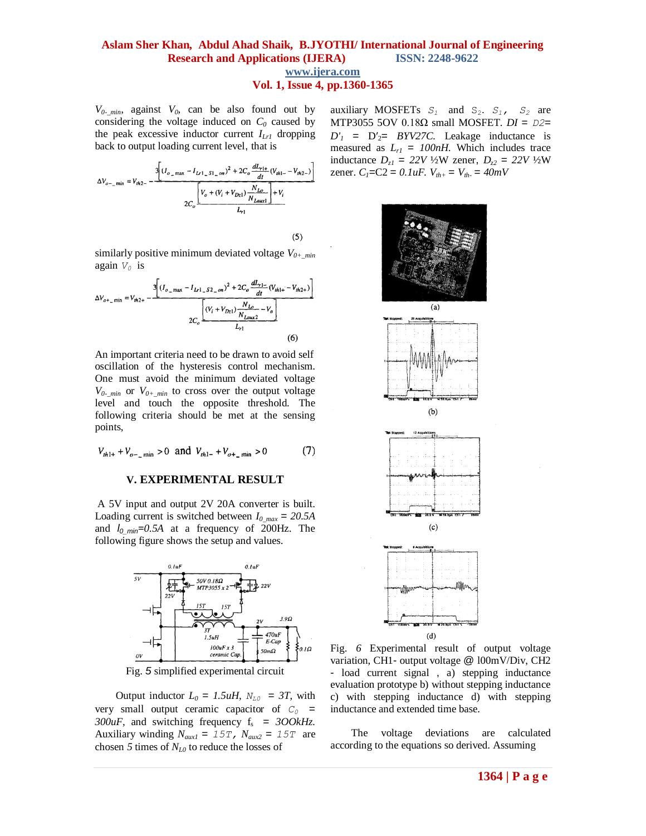## **Aslam Sher Khan, Abdul Ahad Shaik, B.JYOTHI/ International Journal of Engineering Research and Applications (IJERA) ISSN: 2248-9622 www.ijera.com Vol. 1, Issue 4, pp.1360-1365**

 $V_{0-_{min}}$  against  $V_{0}$  can be also found out by considering the voltage induced on  $C_0$  caused by the peak excessive inductor current *ILr1* dropping back to output loading current level, that is

$$
\Delta V_{o-{\rm min}} = V_{th2-} - \frac{3 \left[ \left(I_{o{\rm max}} - I_{L1{\rm s}}\right]_{1{\rm o}m} \right)^2 + 2 C_o \frac{dI_{r1+}}{dt}(V_{th1-} - V_{th2-})}{2 C_o \frac{\left[V_o + \left(V_i + V_{Dz}\right) \right] N_{Lov}}{L_{r1}} + V_i}
$$

 $(5)$ 

similarly positive minimum deviated voltage  $V_{0+min}$ again *V<sup>0</sup>* is

$$
\Delta V_{o+_{\text{min}}} = V_{th2+} - \frac{3 \left[ (I_{o_{\text{max}}} - I_{L1} - S_{o_{\text{max}}})^2 + 2C_o \frac{dI_{r1-}}{dt} (V_{th1+} - V_{th2+}) \right]}{2C_o \left[ (V_i + V_{Dz1}) \frac{N_{Lo}}{N_{\text{Laux2}}} - V_o \right]}
$$
\n(6)

An important criteria need to be drawn to avoid self oscillation of the hysteresis control mechanism. One must avoid the minimum deviated voltage  $V_{0-<sub>min</sub>}$  or  $V_{0+<sub>min</sub>}$  to cross over the output voltage level and touch the opposite threshold. The following criteria should be met at the sensing points,

$$
V_{th1+} + V_{o- \min} > 0 \text{ and } V_{th1-} + V_{o+ \min} > 0 \tag{7}
$$

#### **V. EXPERIMENTAL RESULT**

A 5V input and output 2V 20A converter is built. Loading current is switched between *I0\_max* = *20.5A* and  $l_0$ <sub>min</sub>=0.5A at a frequency of 200Hz. The following figure shows the setup and values.





Output inductor  $L_0 = 1.5uH$ ,  $N_{L0} = 3T$ , with very small output ceramic capacitor of  $C_0$  = *300uF,* and switching frequency f<sup>s</sup> = *3OOkHz.* Auxiliary winding  $N_{\text{aux1}} = 15T$ ,  $N_{\text{aux2}} = 15T$  are chosen *5* times of *NL0* to reduce the losses of

auxiliary MOSFETs  $S_1$  and  $S_2$ ,  $S_1$ ,  $S_2$  are MTP3055 5OV 0.18Ω small MOSFET. *DI* = *D2*=  $D'$ <sub>1</sub> =  $D'$ <sub>2</sub>= *BYV27C*. Leakage inductance is measured as  $L_{r1} = 100nH$ . Which includes trace inductance  $D_{z1} = 22V \frac{1}{2}W$  zener,  $D_{z2} = 22V \frac{1}{2}W$ zener.  $C_I = C2 = 0.1uF$ .  $V_{th+} = V_{th-} = 40mV$ 





 The voltage deviations are calculated according to the equations so derived. Assuming